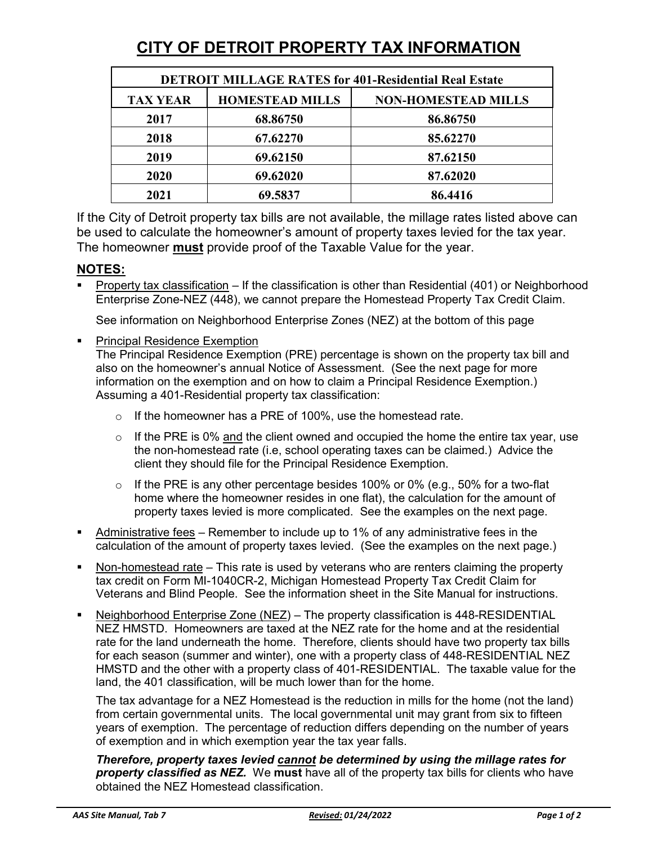# **CITY OF DETROIT PROPERTY TAX INFORMATION**

| <b>DETROIT MILLAGE RATES for 401-Residential Real Estate</b> |                        |                            |
|--------------------------------------------------------------|------------------------|----------------------------|
| <b>TAX YEAR</b>                                              | <b>HOMESTEAD MILLS</b> | <b>NON-HOMESTEAD MILLS</b> |
| 2017                                                         | 68.86750               | 86.86750                   |
| 2018                                                         | 67.62270               | 85.62270                   |
| 2019                                                         | 69.62150               | 87.62150                   |
| 2020                                                         | 69.62020               | 87.62020                   |
| 2021                                                         | 69.5837                | 86.4416                    |

If the City of Detroit property tax bills are not available, the millage rates listed above can be used to calculate the homeowner's amount of property taxes levied for the tax year. The homeowner **must** provide proof of the Taxable Value for the year.

## **NOTES:**

Property tax classification – If the classification is other than Residential (401) or Neighborhood Enterprise Zone-NEZ (448), we cannot prepare the Homestead Property Tax Credit Claim.

See information on Neighborhood Enterprise Zones (NEZ) at the bottom of this page

Principal Residence Exemption

The Principal Residence Exemption (PRE) percentage is shown on the property tax bill and also on the homeowner's annual Notice of Assessment. (See the next page for more information on the exemption and on how to claim a Principal Residence Exemption.) Assuming a 401-Residential property tax classification:

- $\circ$  If the homeowner has a PRE of 100%, use the homestead rate.
- $\circ$  If the PRE is 0% and the client owned and occupied the home the entire tax year, use the non-homestead rate (i.e, school operating taxes can be claimed.) Advice the client they should file for the Principal Residence Exemption.
- $\circ$  If the PRE is any other percentage besides 100% or 0% (e.g., 50% for a two-flat home where the homeowner resides in one flat), the calculation for the amount of property taxes levied is more complicated. See the examples on the next page.
- Administrative fees Remember to include up to 1% of any administrative fees in the calculation of the amount of property taxes levied. (See the examples on the next page.)
- Non-homestead rate This rate is used by veterans who are renters claiming the property tax credit on Form MI-1040CR-2, Michigan Homestead Property Tax Credit Claim for Veterans and Blind People. See the information sheet in the Site Manual for instructions.
- Neighborhood Enterprise Zone (NEZ) The property classification is 448-RESIDENTIAL NEZ HMSTD. Homeowners are taxed at the NEZ rate for the home and at the residential rate for the land underneath the home. Therefore, clients should have two property tax bills for each season (summer and winter), one with a property class of 448-RESIDENTIAL NEZ HMSTD and the other with a property class of 401-RESIDENTIAL. The taxable value for the land, the 401 classification, will be much lower than for the home.

The tax advantage for a NEZ Homestead is the reduction in mills for the home (not the land) from certain governmental units. The local governmental unit may grant from six to fifteen years of exemption. The percentage of reduction differs depending on the number of years of exemption and in which exemption year the tax year falls.

*Therefore, property taxes levied cannot be determined by using the millage rates for property classified as NEZ.* We **must** have all of the property tax bills for clients who have obtained the NEZ Homestead classification.